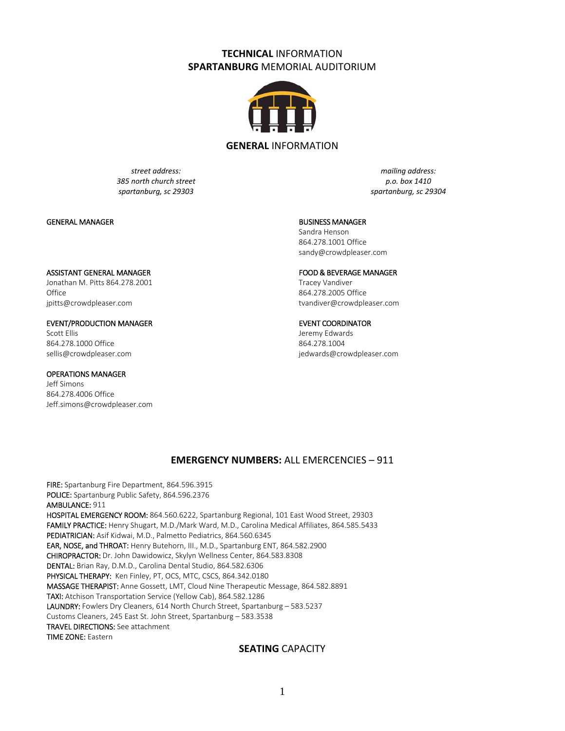# **TECHNICAL** INFORMATION **SPARTANBURG** MEMORIAL AUDITORIUM



### **GENERAL** INFORMATION

*street address: 385 north church street spartanburg, sc 29303*

*mailing address: p.o. box 1410 spartanburg, sc 29304*

#### GENERAL MANAGER

#### BUSINESS MANAGER

Sandra Henson 864.278.1001 Office sandy@crowdpleaser.com

#### ASSISTANT GENERAL MANAGER

Jonathan M. Pitts 864.278.2001 **Office** jpitts@crowdpleaser.com

#### EVENT/PRODUCTION MANAGER

Scott Ellis 864.278.1000 Office sellis@crowdpleaser.com

## OPERATIONS MANAGER

Jeff Simons 864.278.4006 Office Jeff.simons@crowdpleaser.com

#### FOOD & BEVERAGE MANAGER

Tracey Vandiver 864.278.2005 Office tvandiver@crowdpleaser.com

#### EVENT COORDINATOR

Jeremy Edwards 864.278.1004 jedwards@crowdpleaser.com

## **EMERGENCY NUMBERS:** ALL EMERCENCIES – 911

FIRE: Spartanburg Fire Department, 864.596.3915 POLICE: Spartanburg Public Safety, 864.596.2376 AMBULANCE: 911 HOSPITAL EMERGENCY ROOM: 864.560.6222, Spartanburg Regional, 101 East Wood Street, 29303 FAMILY PRACTICE: Henry Shugart, M.D./Mark Ward, M.D., Carolina Medical Affiliates, 864.585.5433 PEDIATRICIAN: Asif Kidwai, M.D., Palmetto Pediatrics, 864.560.6345 EAR, NOSE, and THROAT: Henry Butehorn, III., M.D., Spartanburg ENT, 864.582.2900 CHIROPRACTOR: Dr. John Dawidowicz, Skylyn Wellness Center, 864.583.8308 DENTAL: Brian Ray, D.M.D., Carolina Dental Studio, 864.582.6306 PHYSICAL THERAPY: Ken Finley, PT, OCS, MTC, CSCS, 864.342.0180 MASSAGE THERAPIST: Anne Gossett, LMT, Cloud Nine Therapeutic Message, 864.582.8891 TAXI: Atchison Transportation Service (Yellow Cab), 864.582.1286 LAUNDRY: Fowlers Dry Cleaners, 614 North Church Street, Spartanburg – 583.5237 Customs Cleaners, 245 East St. John Street, Spartanburg – 583.3538 TRAVEL DIRECTIONS: See attachment TIME ZONE: Eastern

## **SEATING** CAPACITY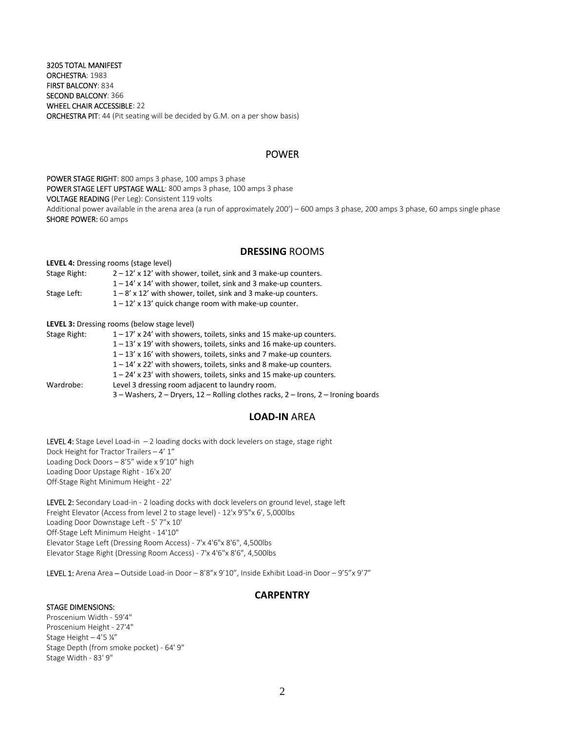3205 TOTAL MANIFEST ORCHESTRA: 1983 FIRST BALCONY: 834 SECOND BALCONY: 366 WHEEL CHAIR ACCESSIBLE: 22 ORCHESTRA PIT: 44 (Pit seating will be decided by G.M. on a per show basis)

## POWER

POWER STAGE RIGHT: 800 amps 3 phase, 100 amps 3 phase POWER STAGE LEFT UPSTAGE WALL: 800 amps 3 phase, 100 amps 3 phase VOLTAGE READING (Per Leg): Consistent 119 volts Additional power available in the arena area (a run of approximately 200') – 600 amps 3 phase, 200 amps 3 phase, 60 amps single phase SHORE POWER: 60 amps

## **DRESSING** ROOMS

**LEVEL 4:** Dressing rooms (stage level)

Stage Right:  $2 - 12' \times 12'$  with shower, toilet, sink and 3 make-up counters. 1 – 14' x 14' with shower, toilet, sink and 3 make‐up counters. Stage Left:  $1 - 8' \times 12'$  with shower, toilet, sink and 3 make-up counters. 1 – 12' x 13' quick change room with make‐up counter.

**LEVEL 3:** Dressing rooms (below stage level)

| Stage Right: | $1 - 17'$ x 24' with showers, toilets, sinks and 15 make-up counters.              |
|--------------|------------------------------------------------------------------------------------|
|              | $1 - 13'$ x 19' with showers, toilets, sinks and 16 make-up counters.              |
|              | $1 - 13'$ x 16' with showers, toilets, sinks and 7 make-up counters.               |
|              | $1 - 14'$ x 22' with showers, toilets, sinks and 8 make-up counters.               |
|              | $1 - 24'$ x 23' with showers, toilets, sinks and 15 make-up counters.              |
| Wardrobe:    | Level 3 dressing room adjacent to laundry room.                                    |
|              | 3 - Washers, 2 - Dryers, 12 - Rolling clothes racks, 2 - Irons, 2 - Ironing boards |

# **LOAD‐IN** AREA

LEVEL 4: Stage Level Load-in  $-2$  loading docks with dock levelers on stage, stage right Dock Height for Tractor Trailers – 4' 1" Loading Dock Doors – 8'5" wide x 9'10" high Loading Door Upstage Right ‐ 16'x 20' Off‐Stage Right Minimum Height ‐ 22'

LEVEL 2: Secondary Load-in - 2 loading docks with dock levelers on ground level, stage left Freight Elevator (Access from level 2 to stage level) ‐ 12'x 9'5"x 6', 5,000lbs Loading Door Downstage Left ‐ 5' 7"x 10' Off‐Stage Left Minimum Height ‐ 14'10" Elevator Stage Left (Dressing Room Access) ‐ 7'x 4'6"x 8'6", 4,500lbs Elevator Stage Right (Dressing Room Access) ‐ 7'x 4'6"x 8'6", 4,500lbs

LEVEL 1: Arena Area – Outside Load-in Door – 8'8"x 9'10", Inside Exhibit Load-in Door – 9'5"x 9'7"

## **CARPENTRY**

#### STAGE DIMENSIONS:

Proscenium Width ‐ 59'4" Proscenium Height ‐ 27'4" Stage Height – 4'5 ¼" Stage Depth (from smoke pocket) ‐ 64' 9" Stage Width ‐ 83' 9"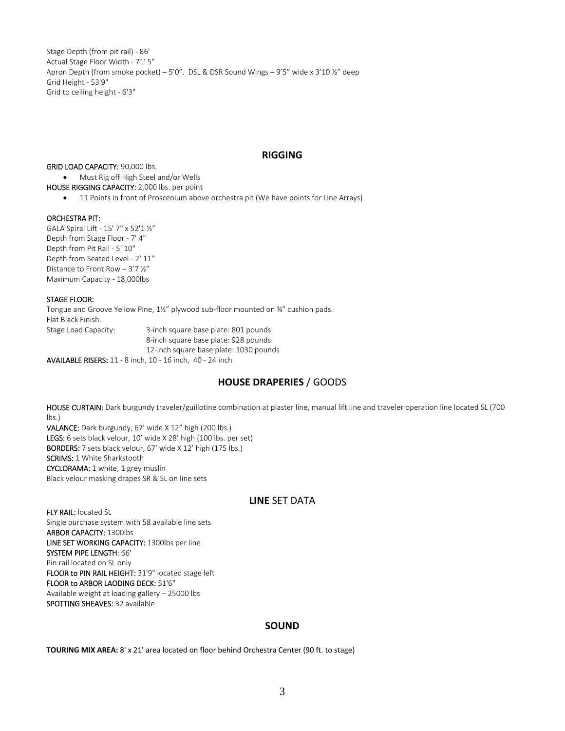Stage Depth (from pit rail) ‐ 86' Actual Stage Floor Width ‐ 71' 5" Apron Depth (from smoke pocket) – 5'0". DSL & DSR Sound Wings – 9'5" wide x 3'10 ½" deep Grid Height ‐ 53'9" Grid to ceiling height ‐ 6'3"

## **RIGGING**

GRID LOAD CAPACITY: 90,000 lbs.

 Must Rig off High Steel and/or Wells HOUSE RIGGING CAPACITY: 2,000 lbs. per point

• 11 Points in front of Proscenium above orchestra pit (We have points for Line Arrays)

### ORCHESTRA PIT:

GALA Spiral Lift ‐ 15' 7" x 52'1 ½" Depth from Stage Floor ‐ 7' 4" Depth from Pit Rail ‐ 5' 10" Depth from Seated Level ‐ 2' 11'' Distance to Front Row – 3'7 ½" Maximum Capacity ‐ 18,000lbs

## STAGE FLOOR:

Tongue and Groove Yellow Pine, 1½" plywood sub‐floor mounted on ¾" cushion pads. Flat Black Finish. Stage Load Capacity: 3-inch square base plate: 801 pounds 8‐inch square base plate: 928 pounds 12-inch square base plate: 1030 pounds

AVAILABLE RISERS: 11 ‐ 8 inch, 10 ‐ 16 inch, 40 ‐ 24 inch

# **HOUSE DRAPERIES** / GOODS

HOUSE CURTAIN: Dark burgundy traveler/guillotine combination at plaster line, manual lift line and traveler operation line located SL (700 lbs.) VALANCE: Dark burgundy, 67' wide X 12" high (200 lbs.)

LEGS: 6 sets black velour, 10' wide X 28' high (100 lbs. per set) BORDERS: 7 sets black velour, 67' wide X 12' high (175 lbs.) SCRIMS: 1 White Sharkstooth CYCLORAMA: 1 white, 1 grey muslin Black velour masking drapes SR & SL on line sets

# **LINE** SET DATA

FLY RAIL: located SL Single purchase system with 58 available line sets ARBOR CAPACITY: 1300lbs LINE SET WORKING CAPACITY: 1300lbs per line SYSTEM PIPE LENGTH: 66' Pin rail located on SL only FLOOR to PIN RAIL HEIGHT: 31'9" located stage left FLOOR to ARBOR LAODING DECK: 51'6" Available weight at loading gallery – 25000 lbs SPOTTING SHEAVES: 32 available

# **SOUND**

**TOURING MIX AREA:** 8' x 21' area located on floor behind Orchestra Center (90 ft. to stage)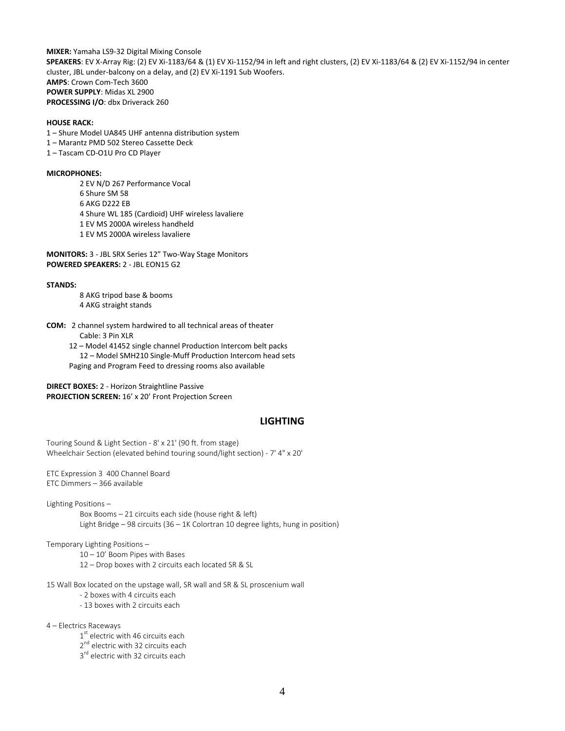**MIXER:** Yamaha LS9‐32 Digital Mixing Console **SPEAKERS**: EV X‐Array Rig: (2) EV Xi‐1183/64 & (1) EV Xi‐1152/94 in left and right clusters, (2) EV Xi‐1183/64 & (2) EV Xi‐1152/94 in center cluster, JBL under‐balcony on a delay, and (2) EV Xi‐1191 Sub Woofers. **AMPS**: Crown Com‐Tech 3600 **POWER SUPPLY**: Midas XL 2900 **PROCESSING I/O**: dbx Driverack 260

#### **HOUSE RACK:**

1 – Shure Model UA845 UHF antenna distribution system

- 1 Marantz PMD 502 Stereo Cassette Deck
- 1 Tascam CD‐O1U Pro CD Player

#### **MICROPHONES:**

 EV N/D 267 Performance Vocal Shure SM 58 AKG D222 EB Shure WL 185 (Cardioid) UHF wireless lavaliere EV MS 2000A wireless handheld EV MS 2000A wireless lavaliere

**MONITORS:** 3 ‐ JBL SRX Series 12" Two‐Way Stage Monitors **POWERED SPEAKERS:** 2 ‐ JBL EON15 G2

#### **STANDS:**

8 AKG tripod base & booms 4 AKG straight stands

**COM:** 2 channel system hardwired to all technical areas of theater Cable: 3 Pin XLR

 12 – Model 41452 single channel Production Intercom belt packs 12 – Model SMH210 Single‐Muff Production Intercom head sets Paging and Program Feed to dressing rooms also available

**DIRECT BOXES:** 2 ‐ Horizon Straightline Passive **PROJECTION SCREEN:** 16' x 20' Front Projection Screen

## **LIGHTING**

Touring Sound & Light Section ‐ 8' x 21' (90 ft. from stage) Wheelchair Section (elevated behind touring sound/light section) ‐ 7' 4" x 20'

ETC Expression 3 400 Channel Board ETC Dimmers – 366 available

Lighting Positions –

Box Booms – 21 circuits each side (house right & left) Light Bridge – 98 circuits (36 – 1K Colortran 10 degree lights, hung in position)

Temporary Lighting Positions –

- 10 10' Boom Pipes with Bases
- 12 Drop boxes with 2 circuits each located SR & SL

15 Wall Box located on the upstage wall, SR wall and SR & SL proscenium wall

- ‐ 2 boxes with 4 circuits each
- ‐ 13 boxes with 2 circuits each

4 – Electrics Raceways

1<sup>st</sup> electric with 46 circuits each

- 2<sup>nd</sup> electric with 32 circuits each
- 3<sup>rd</sup> electric with 32 circuits each